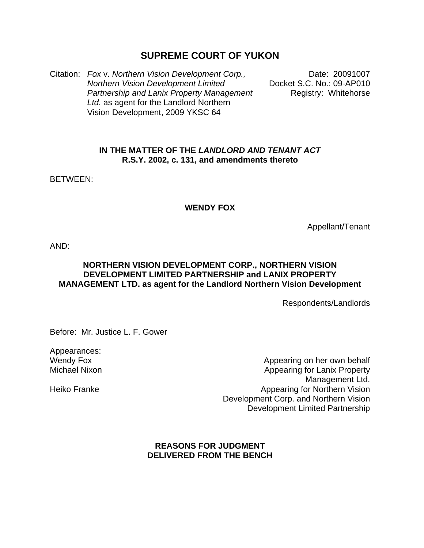# **SUPREME COURT OF YUKON**

Citation: *Fox* v. *Northern Vision Development Corp.*, **Date: 20091007** *Northern Vision Development Limited Partnership and Lanix Property Management Ltd.* as agent for the Landlord Northern Vision Development, 2009 YKSC 64 Docket S.C. No.: 09-AP010 Registry: Whitehorse

## **IN THE MATTER OF THE** *LANDLORD AND TENANT ACT* **R.S.Y. 2002, c. 131, and amendments thereto**

BETWEEN:

#### **WENDY FOX**

Appellant/Tenant

AND:

## **NORTHERN VISION DEVELOPMENT CORP., NORTHERN VISION DEVELOPMENT LIMITED PARTNERSHIP and LANIX PROPERTY MANAGEMENT LTD. as agent for the Landlord Northern Vision Development**

Respondents/Landlords

Before: Mr. Justice L. F. Gower

Appearances: Wendy Fox Michael Nixon

Heiko Franke

Appearing on her own behalf Appearing for Lanix Property Management Ltd. Appearing for Northern Vision Development Corp. and Northern Vision Development Limited Partnership

# **REASONS FOR JUDGMENT DELIVERED FROM THE BENCH**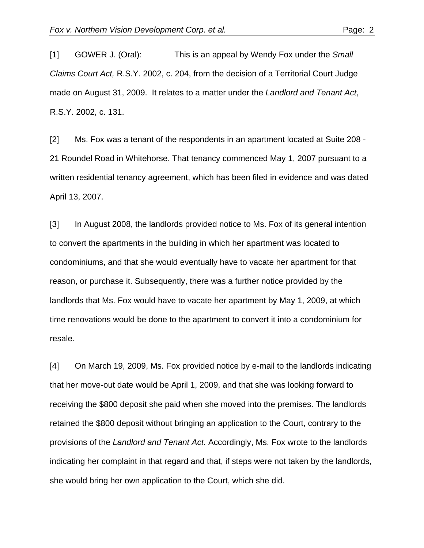[1] GOWER J. (Oral): This is an appeal by Wendy Fox under the *Small Claims Court Act,* R.S.Y. 2002, c. 204, from the decision of a Territorial Court Judge made on August 31, 2009. It relates to a matter under the *Landlord and Tenant Act*, R.S.Y. 2002, c. 131.

[2] Ms. Fox was a tenant of the respondents in an apartment located at Suite 208 - 21 Roundel Road in Whitehorse. That tenancy commenced May 1, 2007 pursuant to a written residential tenancy agreement, which has been filed in evidence and was dated April 13, 2007.

[3] In August 2008, the landlords provided notice to Ms. Fox of its general intention to convert the apartments in the building in which her apartment was located to condominiums, and that she would eventually have to vacate her apartment for that reason, or purchase it. Subsequently, there was a further notice provided by the landlords that Ms. Fox would have to vacate her apartment by May 1, 2009, at which time renovations would be done to the apartment to convert it into a condominium for resale.

[4] On March 19, 2009, Ms. Fox provided notice by e-mail to the landlords indicating that her move-out date would be April 1, 2009, and that she was looking forward to receiving the \$800 deposit she paid when she moved into the premises. The landlords retained the \$800 deposit without bringing an application to the Court, contrary to the provisions of the *Landlord and Tenant Act.* Accordingly, Ms. Fox wrote to the landlords indicating her complaint in that regard and that, if steps were not taken by the landlords, she would bring her own application to the Court, which she did.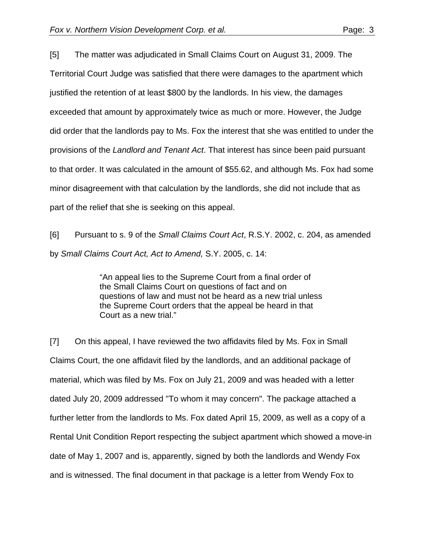[5] The matter was adjudicated in Small Claims Court on August 31, 2009. The Territorial Court Judge was satisfied that there were damages to the apartment which justified the retention of at least \$800 by the landlords. In his view, the damages exceeded that amount by approximately twice as much or more. However, the Judge did order that the landlords pay to Ms. Fox the interest that she was entitled to under the provisions of the *Landlord and Tenant Act*. That interest has since been paid pursuant to that order. It was calculated in the amount of \$55.62, and although Ms. Fox had some minor disagreement with that calculation by the landlords, she did not include that as part of the relief that she is seeking on this appeal.

[6] Pursuant to s. 9 of the *Small Claims Court Act*, R.S.Y. 2002, c. 204, as amended by *Small Claims Court Act, Act to Amend,* S.Y. 2005, c. 14:

> "An appeal lies to the Supreme Court from a final order of the Small Claims Court on questions of fact and on questions of law and must not be heard as a new trial unless the Supreme Court orders that the appeal be heard in that Court as a new trial."

[7] On this appeal, I have reviewed the two affidavits filed by Ms. Fox in Small Claims Court, the one affidavit filed by the landlords, and an additional package of material, which was filed by Ms. Fox on July 21, 2009 and was headed with a letter dated July 20, 2009 addressed "To whom it may concern". The package attached a further letter from the landlords to Ms. Fox dated April 15, 2009, as well as a copy of a Rental Unit Condition Report respecting the subject apartment which showed a move-in date of May 1, 2007 and is, apparently, signed by both the landlords and Wendy Fox and is witnessed. The final document in that package is a letter from Wendy Fox to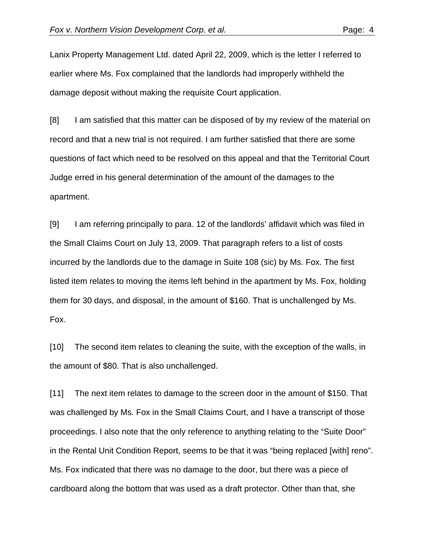Lanix Property Management Ltd. dated April 22, 2009, which is the letter I referred to earlier where Ms. Fox complained that the landlords had improperly withheld the damage deposit without making the requisite Court application.

[8] I am satisfied that this matter can be disposed of by my review of the material on record and that a new trial is not required. I am further satisfied that there are some questions of fact which need to be resolved on this appeal and that the Territorial Court Judge erred in his general determination of the amount of the damages to the apartment.

[9] I am referring principally to para. 12 of the landlords' affidavit which was filed in the Small Claims Court on July 13, 2009. That paragraph refers to a list of costs incurred by the landlords due to the damage in Suite 108 (sic) by Ms. Fox. The first listed item relates to moving the items left behind in the apartment by Ms. Fox, holding them for 30 days, and disposal, in the amount of \$160. That is unchallenged by Ms. Fox.

[10] The second item relates to cleaning the suite, with the exception of the walls, in the amount of \$80. That is also unchallenged.

[11] The next item relates to damage to the screen door in the amount of \$150. That was challenged by Ms. Fox in the Small Claims Court, and I have a transcript of those proceedings. I also note that the only reference to anything relating to the "Suite Door" in the Rental Unit Condition Report, seems to be that it was "being replaced [with] reno". Ms. Fox indicated that there was no damage to the door, but there was a piece of cardboard along the bottom that was used as a draft protector. Other than that, she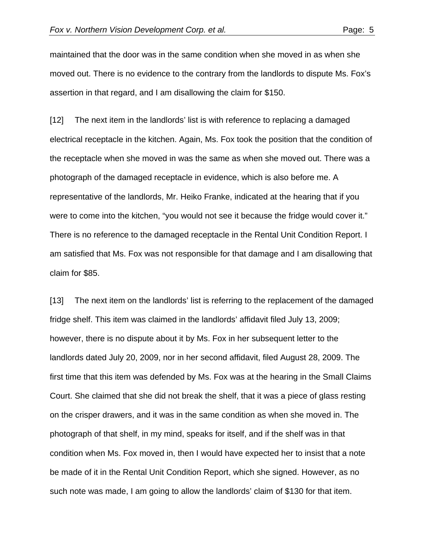maintained that the door was in the same condition when she moved in as when she moved out. There is no evidence to the contrary from the landlords to dispute Ms. Fox's assertion in that regard, and I am disallowing the claim for \$150.

[12] The next item in the landlords' list is with reference to replacing a damaged electrical receptacle in the kitchen. Again, Ms. Fox took the position that the condition of the receptacle when she moved in was the same as when she moved out. There was a photograph of the damaged receptacle in evidence, which is also before me. A representative of the landlords, Mr. Heiko Franke, indicated at the hearing that if you were to come into the kitchen, "you would not see it because the fridge would cover it." There is no reference to the damaged receptacle in the Rental Unit Condition Report. I am satisfied that Ms. Fox was not responsible for that damage and I am disallowing that claim for \$85.

[13] The next item on the landlords' list is referring to the replacement of the damaged fridge shelf. This item was claimed in the landlords' affidavit filed July 13, 2009; however, there is no dispute about it by Ms. Fox in her subsequent letter to the landlords dated July 20, 2009, nor in her second affidavit, filed August 28, 2009. The first time that this item was defended by Ms. Fox was at the hearing in the Small Claims Court. She claimed that she did not break the shelf, that it was a piece of glass resting on the crisper drawers, and it was in the same condition as when she moved in. The photograph of that shelf, in my mind, speaks for itself, and if the shelf was in that condition when Ms. Fox moved in, then I would have expected her to insist that a note be made of it in the Rental Unit Condition Report, which she signed. However, as no such note was made, I am going to allow the landlords' claim of \$130 for that item.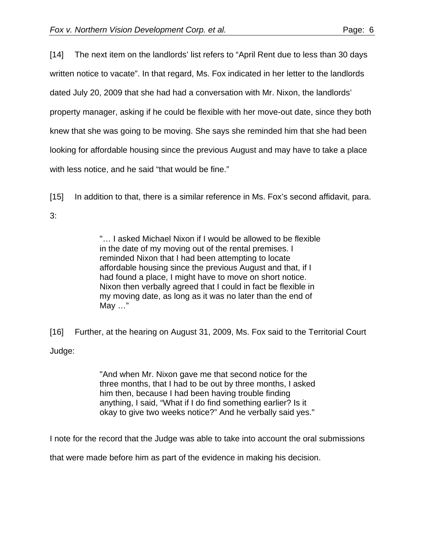[14] The next item on the landlords' list refers to "April Rent due to less than 30 days written notice to vacate". In that regard, Ms. Fox indicated in her letter to the landlords dated July 20, 2009 that she had had a conversation with Mr. Nixon, the landlords' property manager, asking if he could be flexible with her move-out date, since they both knew that she was going to be moving. She says she reminded him that she had been looking for affordable housing since the previous August and may have to take a place with less notice, and he said "that would be fine."

[15] In addition to that, there is a similar reference in Ms. Fox's second affidavit, para. 3:

> "… I asked Michael Nixon if I would be allowed to be flexible in the date of my moving out of the rental premises. I reminded Nixon that I had been attempting to locate affordable housing since the previous August and that, if I had found a place, I might have to move on short notice. Nixon then verbally agreed that I could in fact be flexible in my moving date, as long as it was no later than the end of May …"

[16] Further, at the hearing on August 31, 2009, Ms. Fox said to the Territorial Court Judge:

> "And when Mr. Nixon gave me that second notice for the three months, that I had to be out by three months, I asked him then, because I had been having trouble finding anything, I said, "What if I do find something earlier? Is it okay to give two weeks notice?" And he verbally said yes."

I note for the record that the Judge was able to take into account the oral submissions

that were made before him as part of the evidence in making his decision.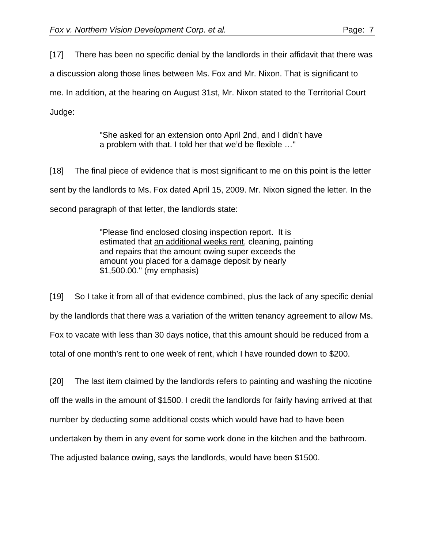[17] There has been no specific denial by the landlords in their affidavit that there was

a discussion along those lines between Ms. Fox and Mr. Nixon. That is significant to

me. In addition, at the hearing on August 31st, Mr. Nixon stated to the Territorial Court

Judge:

"She asked for an extension onto April 2nd, and I didn't have a problem with that. I told her that we'd be flexible …"

[18] The final piece of evidence that is most significant to me on this point is the letter sent by the landlords to Ms. Fox dated April 15, 2009. Mr. Nixon signed the letter. In the second paragraph of that letter, the landlords state:

> "Please find enclosed closing inspection report. It is estimated that an additional weeks rent, cleaning, painting and repairs that the amount owing super exceeds the amount you placed for a damage deposit by nearly \$1,500.00." (my emphasis)

[19] So I take it from all of that evidence combined, plus the lack of any specific denial by the landlords that there was a variation of the written tenancy agreement to allow Ms. Fox to vacate with less than 30 days notice, that this amount should be reduced from a total of one month's rent to one week of rent, which I have rounded down to \$200.

[20] The last item claimed by the landlords refers to painting and washing the nicotine off the walls in the amount of \$1500. I credit the landlords for fairly having arrived at that number by deducting some additional costs which would have had to have been undertaken by them in any event for some work done in the kitchen and the bathroom. The adjusted balance owing, says the landlords, would have been \$1500.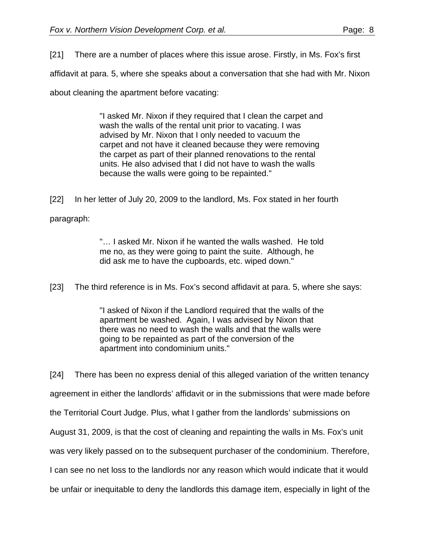[21] There are a number of places where this issue arose. Firstly, in Ms. Fox's first

affidavit at para. 5, where she speaks about a conversation that she had with Mr. Nixon

about cleaning the apartment before vacating:

"I asked Mr. Nixon if they required that I clean the carpet and wash the walls of the rental unit prior to vacating. I was advised by Mr. Nixon that I only needed to vacuum the carpet and not have it cleaned because they were removing the carpet as part of their planned renovations to the rental units. He also advised that I did not have to wash the walls because the walls were going to be repainted."

[22] In her letter of July 20, 2009 to the landlord, Ms. Fox stated in her fourth paragraph:

> "… I asked Mr. Nixon if he wanted the walls washed. He told me no, as they were going to paint the suite. Although, he did ask me to have the cupboards, etc. wiped down."

[23] The third reference is in Ms. Fox's second affidavit at para. 5, where she says:

"I asked of Nixon if the Landlord required that the walls of the apartment be washed. Again, I was advised by Nixon that there was no need to wash the walls and that the walls were going to be repainted as part of the conversion of the apartment into condominium units."

[24] There has been no express denial of this alleged variation of the written tenancy agreement in either the landlords' affidavit or in the submissions that were made before the Territorial Court Judge. Plus, what I gather from the landlords' submissions on August 31, 2009, is that the cost of cleaning and repainting the walls in Ms. Fox's unit was very likely passed on to the subsequent purchaser of the condominium. Therefore, I can see no net loss to the landlords nor any reason which would indicate that it would be unfair or inequitable to deny the landlords this damage item, especially in light of the